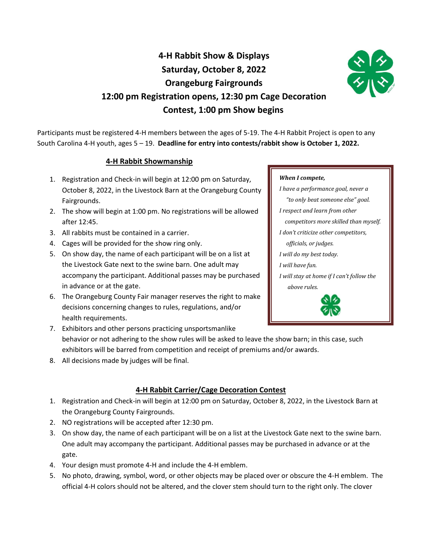# **4-H Rabbit Show & Displays Saturday, October 8, 2022 Orangeburg Fairgrounds 12:00 pm Registration opens, 12:30 pm Cage Decoration Contest, 1:00 pm Show begins**



Participants must be registered 4-H members between the ages of 5-19. The 4-H Rabbit Project is open to any South Carolina 4-H youth, ages 5 – 19. **Deadline for entry into contests/rabbit show is October 1, 2022.**

#### **4-H Rabbit Showmanship**

- 1. Registration and Check-in will begin at 12:00 pm on Saturday, October 8, 2022, in the Livestock Barn at the Orangeburg County Fairgrounds.
- 2. The show will begin at 1:00 pm. No registrations will be allowed after 12:45.
- 3. All rabbits must be contained in a carrier.
- 4. Cages will be provided for the show ring only.
- 5. On show day, the name of each participant will be on a list at the Livestock Gate next to the swine barn. One adult may accompany the participant. Additional passes may be purchased in advance or at the gate.
- 6. The Orangeburg County Fair manager reserves the right to make decisions concerning changes to rules, regulations, and/or health requirements.

#### *officials, or judges. I will do my best today.*

*I will have fun.*

*When I compete,*

*I will stay at home if I can't follow the above rules.*

*I have a performance goal, never a "to only beat someone else" goal.*

 *competitors more skilled than myself.*

*I respect and learn from other* 

*I don't criticize other competitors,* 



7. Exhibitors and other persons practicing unsportsmanlike behavior or not adhering to the show rules will be asked to leave the show barn; in this case, such exhibitors will be barred from competition and receipt of premiums and/or awards.

8. All decisions made by judges will be final.

## **4-H Rabbit Carrier/Cage Decoration Contest**

- 1. Registration and Check-in will begin at 12:00 pm on Saturday, October 8, 2022, in the Livestock Barn at the Orangeburg County Fairgrounds.
- 2. NO registrations will be accepted after 12:30 pm.
- 3. On show day, the name of each participant will be on a list at the Livestock Gate next to the swine barn. One adult may accompany the participant. Additional passes may be purchased in advance or at the gate.
- 4. Your design must promote 4-H and include the 4-H emblem.
- 5. No photo, drawing, symbol, word, or other objects may be placed over or obscure the 4-H emblem. The official 4-H colors should not be altered, and the clover stem should turn to the right only. The clover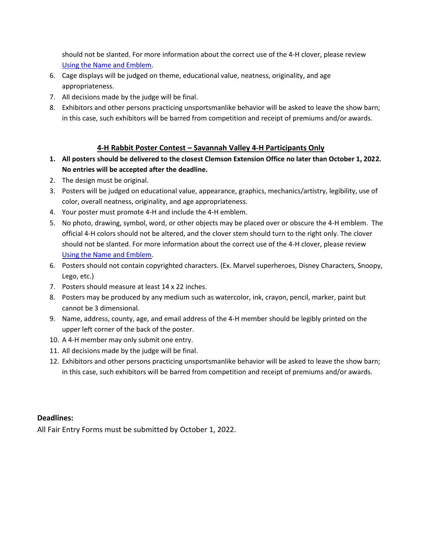should not be slanted. For more information about the correct use of the 4-H clover, please review [Using the Name and Emblem.](https://www.canr.msu.edu/uploads/234/40629/Using_the_4-H_Name_and_Emblem_1.pdf)

- 6. Cage displays will be judged on theme, educational value, neatness, originality, and age appropriateness.
- 7. All decisions made by the judge will be final.
- 8. Exhibitors and other persons practicing unsportsmanlike behavior will be asked to leave the show barn; in this case, such exhibitors will be barred from competition and receipt of premiums and/or awards.

## **4-H Rabbit Poster Contest – Savannah Valley 4-H Participants Only**

- **1. All posters should be delivered to the closest Clemson Extension Office no later than October 1, 2022. No entries will be accepted after the deadline.**
- 2. The design must be original.
- 3. Posters will be judged on educational value, appearance, graphics, mechanics/artistry, legibility, use of color, overall neatness, originality, and age appropriateness.
- 4. Your poster must promote 4-H and include the 4-H emblem.
- 5. No photo, drawing, symbol, word, or other objects may be placed over or obscure the 4-H emblem. The official 4-H colors should not be altered, and the clover stem should turn to the right only. The clover should not be slanted. For more information about the correct use of the 4-H clover, please review [Using the Name and Emblem.](https://www.canr.msu.edu/uploads/234/40629/Using_the_4-H_Name_and_Emblem_1.pdf)
- 6. Posters should not contain copyrighted characters. (Ex. Marvel superheroes, Disney Characters, Snoopy, Lego, etc.)
- 7. Posters should measure at least 14 x 22 inches.
- 8. Posters may be produced by any medium such as watercolor, ink, crayon, pencil, marker, paint but cannot be 3 dimensional.
- 9. Name, address, county, age, and email address of the 4-H member should be legibly printed on the upper left corner of the back of the poster.
- 10. A 4-H member may only submit one entry.
- 11. All decisions made by the judge will be final.
- 12. Exhibitors and other persons practicing unsportsmanlike behavior will be asked to leave the show barn; in this case, such exhibitors will be barred from competition and receipt of premiums and/or awards.

#### **Deadlines:**

All Fair Entry Forms must be submitted by October 1, 2022.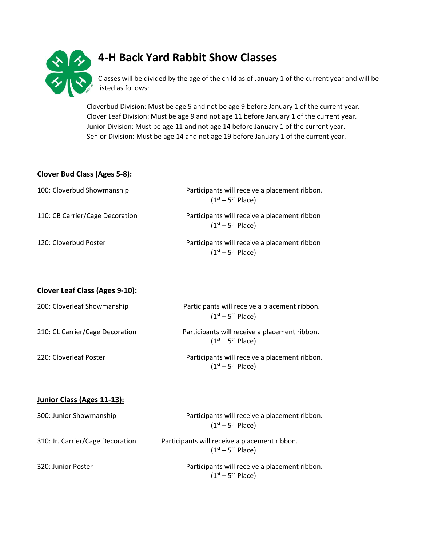

# **4-H Back Yard Rabbit Show Classes**

Classes will be divided by the age of the child as of January 1 of the current year and will be listed as follows:

Cloverbud Division: Must be age 5 and not be age 9 before January 1 of the current year. Clover Leaf Division: Must be age 9 and not age 11 before January 1 of the current year. Junior Division: Must be age 11 and not age 14 before January 1 of the current year. Senior Division: Must be age 14 and not age 19 before January 1 of the current year.

#### **Clover Bud Class (Ages 5-8):**

| 100: Cloverbud Showmanship      | Participants will receive a placement ribbon.<br>$(1st - 5th$ Place) |
|---------------------------------|----------------------------------------------------------------------|
| 110: CB Carrier/Cage Decoration | Participants will receive a placement ribbon<br>$(1st - 5th Place)$  |
| 120: Cloverbud Poster           | Participants will receive a placement ribbon<br>$(1st - 5th$ Place)  |

**Clover Leaf Class (Ages 9-10):**

| 200: Cloverleaf Showmanship     | Participants will receive a placement ribbon.<br>$(1st - 5th Place)$ |
|---------------------------------|----------------------------------------------------------------------|
| 210: CL Carrier/Cage Decoration | Participants will receive a placement ribbon.<br>$(1st - 5th Place)$ |
| 220: Cloverleaf Poster          | Participants will receive a placement ribbon.<br>$(1st - 5th Place)$ |

#### **Junior Class (Ages 11-13):**

| 300: Junior Showmanship          | Participants will receive a placement ribbon.<br>$(1st - 5th Place)$ |
|----------------------------------|----------------------------------------------------------------------|
| 310: Jr. Carrier/Cage Decoration | Participants will receive a placement ribbon.<br>$(1st - 5th Place)$ |
| 320: Junior Poster               | Participants will receive a placement ribbon.<br>$(1st - 5th Place)$ |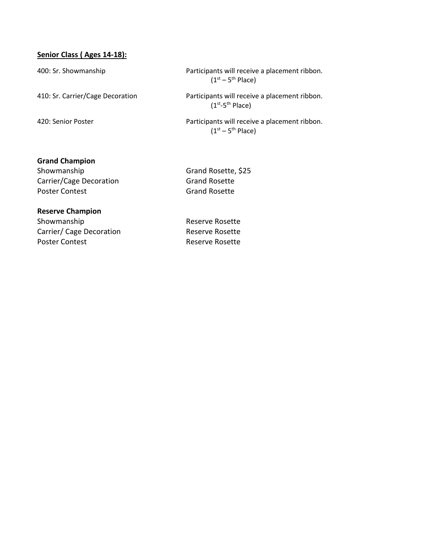### **Senior Class ( Ages 14-18):**

400: Sr. Showmanship Participants will receive a placement ribbon.  $(1<sup>st</sup> - 5<sup>th</sup>$  Place)

410: Sr. Carrier/Cage Decoration Participants will receive a placement ribbon.  $(1^{\text{st}} - 5^{\text{th}})$  Place)

420: Senior Poster **Participants will receive a placement ribbon**.  $(1<sup>st</sup> - 5<sup>th</sup>$  Place)

#### **Grand Champion**

Showmanship Grand Rosette, \$25 Carrier/Cage Decoration Grand Rosette Poster Contest Grand Rosette

#### **Reserve Champion**

Showmanship **Reserve Rosette** Carrier/ Cage Decoration Reserve Rosette Poster Contest **Reserve Rosette**